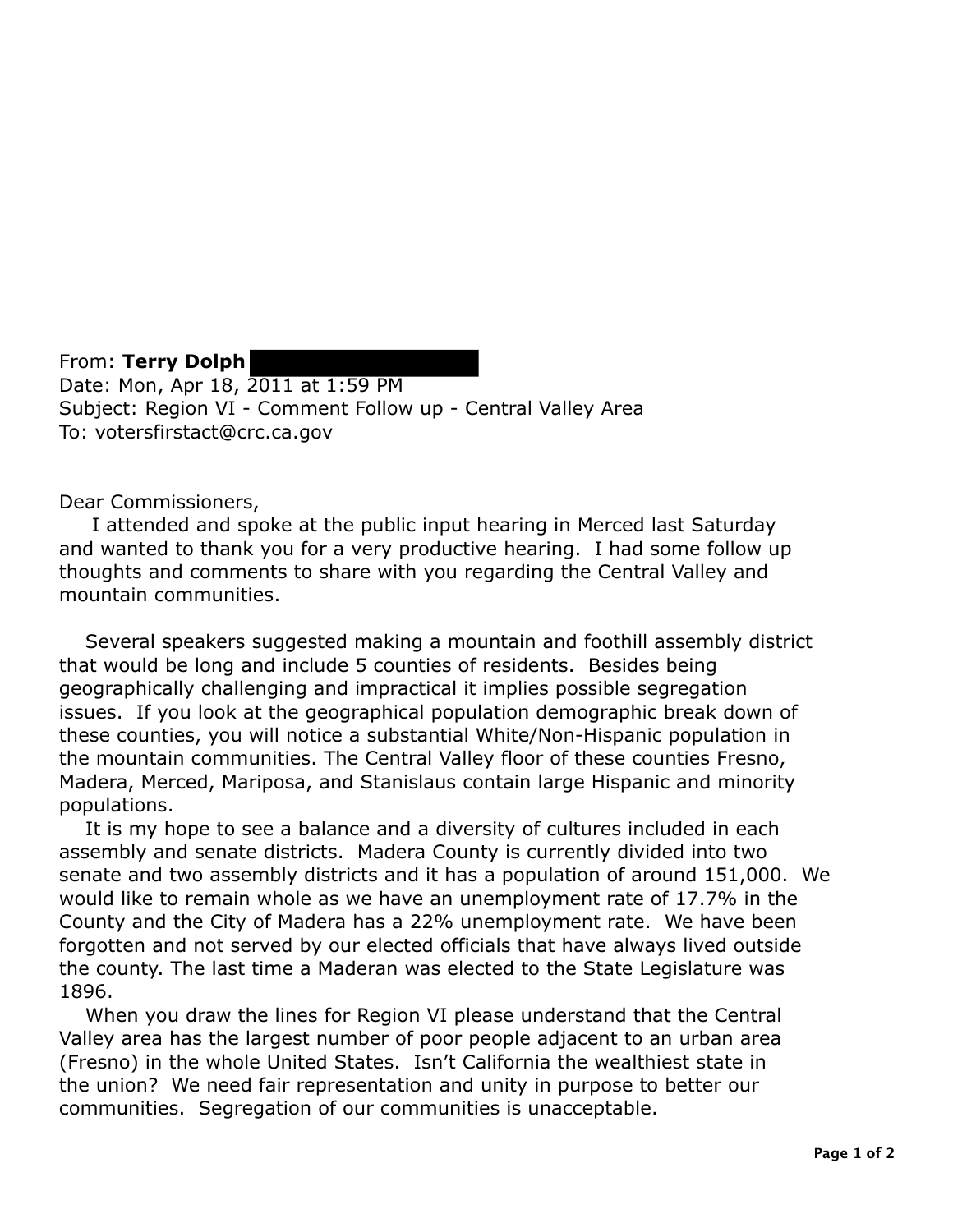From: **Terry Dolph**  Date: Mon, Apr 18, 2011 at 1:59 PM Subject: Region VI - Comment Follow up - Central Valley Area To: votersfirstact@crc.ca.gov

Dear Commissioners,

I attended and spoke at the public input hearing in Merced last Saturday and wanted to thank you for a very productive hearing. I had some follow up thoughts and comments to share with you regarding the Central Valley and mountain communities.

Several speakers suggested making a mountain and foothill assembly district that would be long and include 5 counties of residents. Besides being geographically challenging and impractical it implies possible segregation issues. If you look at the geographical population demographic break down of these counties, you will notice a substantial White/Non-Hispanic population in the mountain communities. The Central Valley floor of these counties Fresno, Madera, Merced, Mariposa, and Stanislaus contain large Hispanic and minority populations.

It is my hope to see a balance and a diversity of cultures included in each assembly and senate districts. Madera County is currently divided into two senate and two assembly districts and it has a population of around 151,000. We would like to remain whole as we have an unemployment rate of 17.7% in the County and the City of Madera has a 22% unemployment rate. We have been forgotten and not served by our elected officials that have always lived outside the county. The last time a Maderan was elected to the State Legislature was 1896.

When you draw the lines for Region VI please understand that the Central Valley area has the largest number of poor people adjacent to an urban area (Fresno) in the whole United States. Isn't California the wealthiest state in the union? We need fair representation and unity in purpose to better our communities. Segregation of our communities is unacceptable.